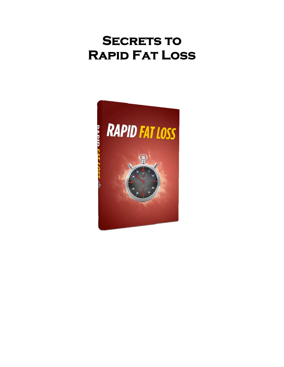# **SECRETS TO Rapid Fat Loss**

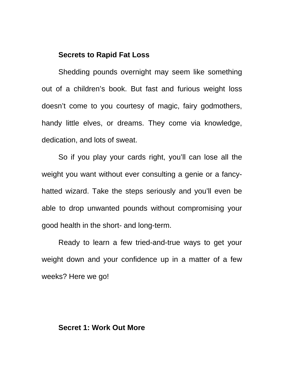# **Secrets to Rapid Fat Loss**

Shedding pounds overnight may seem like something out of a children's book. But fast and furious weight loss doesn't come to you courtesy of magic, fairy godmothers, handy little elves, or dreams. They come via knowledge, dedication, and lots of sweat.

So if you play your cards right, you'll can lose all the weight you want without ever consulting a genie or a fancyhatted wizard. Take the steps seriously and you'll even be able to drop unwanted pounds without compromising your good health in the short- and long-term.

Ready to learn a few tried-and-true ways to get your weight down and your confidence up in a matter of a few weeks? Here we go!

# **Secret 1: Work Out More**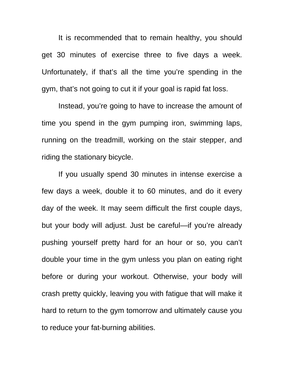It is recommended that to remain healthy, you should get 30 minutes of exercise three to five days a week. Unfortunately, if that's all the time you're spending in the gym, that's not going to cut it if your goal is rapid fat loss.

Instead, you're going to have to increase the amount of time you spend in the gym pumping iron, swimming laps, running on the treadmill, working on the stair stepper, and riding the stationary bicycle.

If you usually spend 30 minutes in intense exercise a few days a week, double it to 60 minutes, and do it every day of the week. It may seem difficult the first couple days, but your body will adjust. Just be careful—if you're already pushing yourself pretty hard for an hour or so, you can't double your time in the gym unless you plan on eating right before or during your workout. Otherwise, your body will crash pretty quickly, leaving you with fatigue that will make it hard to return to the gym tomorrow and ultimately cause you to reduce your fat-burning abilities.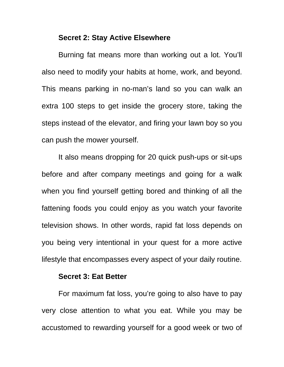# **Secret 2: Stay Active Elsewhere**

Burning fat means more than working out a lot. You'll also need to modify your habits at home, work, and beyond. This means parking in no-man's land so you can walk an extra 100 steps to get inside the grocery store, taking the steps instead of the elevator, and firing your lawn boy so you can push the mower yourself.

It also means dropping for 20 quick push-ups or sit-ups before and after company meetings and going for a walk when you find yourself getting bored and thinking of all the fattening foods you could enjoy as you watch your favorite television shows. In other words, rapid fat loss depends on you being very intentional in your quest for a more active lifestyle that encompasses every aspect of your daily routine.

#### **Secret 3: Eat Better**

For maximum fat loss, you're going to also have to pay very close attention to what you eat. While you may be accustomed to rewarding yourself for a good week or two of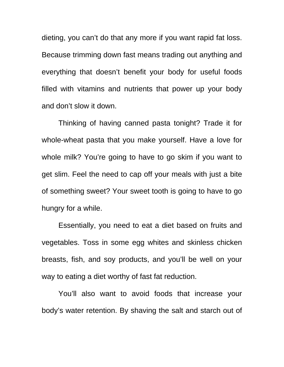dieting, you can't do that any more if you want rapid fat loss. Because trimming down fast means trading out anything and everything that doesn't benefit your body for useful foods filled with vitamins and nutrients that power up your body and don't slow it down.

Thinking of having canned pasta tonight? Trade it for whole-wheat pasta that you make yourself. Have a love for whole milk? You're going to have to go skim if you want to get slim. Feel the need to cap off your meals with just a bite of something sweet? Your sweet tooth is going to have to go hungry for a while.

Essentially, you need to eat a diet based on fruits and vegetables. Toss in some egg whites and skinless chicken breasts, fish, and soy products, and you'll be well on your way to eating a diet worthy of fast fat reduction.

You'll also want to avoid foods that increase your body's water retention. By shaving the salt and starch out of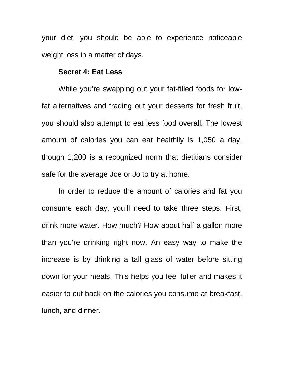your diet, you should be able to experience noticeable weight loss in a matter of days.

## **Secret 4: Eat Less**

While you're swapping out your fat-filled foods for lowfat alternatives and trading out your desserts for fresh fruit, you should also attempt to eat less food overall. The lowest amount of calories you can eat healthily is 1,050 a day, though 1,200 is a recognized norm that dietitians consider safe for the average Joe or Jo to try at home.

In order to reduce the amount of calories and fat you consume each day, you'll need to take three steps. First, drink more water. How much? How about half a gallon more than you're drinking right now. An easy way to make the increase is by drinking a tall glass of water before sitting down for your meals. This helps you feel fuller and makes it easier to cut back on the calories you consume at breakfast, lunch, and dinner.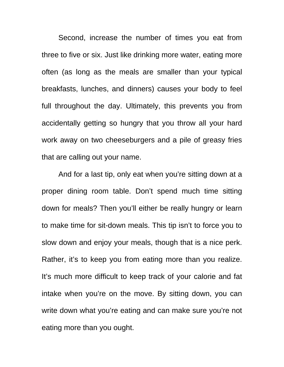Second, increase the number of times you eat from three to five or six. Just like drinking more water, eating more often (as long as the meals are smaller than your typical breakfasts, lunches, and dinners) causes your body to feel full throughout the day. Ultimately, this prevents you from accidentally getting so hungry that you throw all your hard work away on two cheeseburgers and a pile of greasy fries that are calling out your name.

And for a last tip, only eat when you're sitting down at a proper dining room table. Don't spend much time sitting down for meals? Then you'll either be really hungry or learn to make time for sit-down meals. This tip isn't to force you to slow down and enjoy your meals, though that is a nice perk. Rather, it's to keep you from eating more than you realize. It's much more difficult to keep track of your calorie and fat intake when you're on the move. By sitting down, you can write down what you're eating and can make sure you're not eating more than you ought.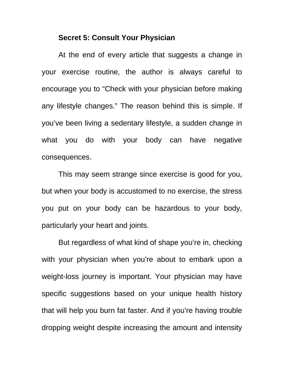### **Secret 5: Consult Your Physician**

At the end of every article that suggests a change in your exercise routine, the author is always careful to encourage you to "Check with your physician before making any lifestyle changes." The reason behind this is simple. If you've been living a sedentary lifestyle, a sudden change in what you do with your body can have negative consequences.

This may seem strange since exercise is good for you, but when your body is accustomed to no exercise, the stress you put on your body can be hazardous to your body, particularly your heart and joints.

But regardless of what kind of shape you're in, checking with your physician when you're about to embark upon a weight-loss journey is important. Your physician may have specific suggestions based on your unique health history that will help you burn fat faster. And if you're having trouble dropping weight despite increasing the amount and intensity